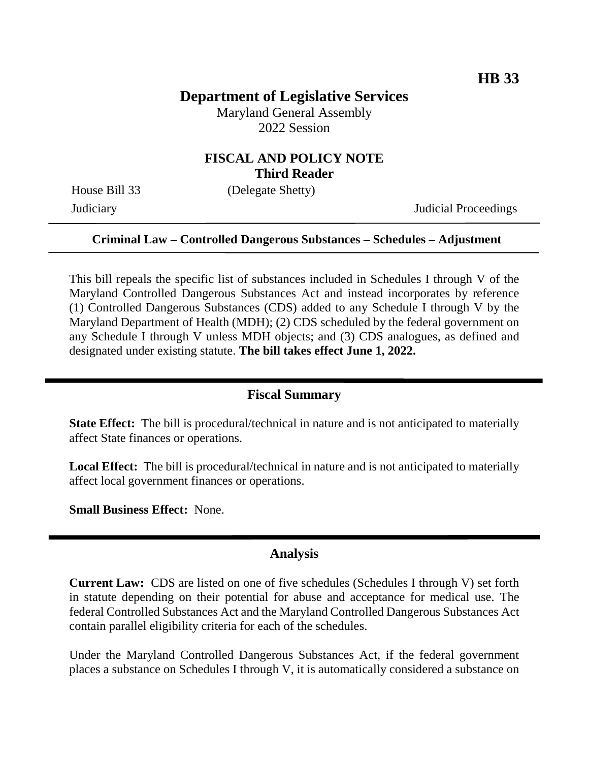# **Department of Legislative Services**

Maryland General Assembly 2022 Session

### **FISCAL AND POLICY NOTE Third Reader**

House Bill 33 (Delegate Shetty)

Judiciary Judicial Proceedings

#### **Criminal Law – Controlled Dangerous Substances – Schedules – Adjustment**

This bill repeals the specific list of substances included in Schedules I through V of the Maryland Controlled Dangerous Substances Act and instead incorporates by reference (1) Controlled Dangerous Substances (CDS) added to any Schedule I through V by the Maryland Department of Health (MDH); (2) CDS scheduled by the federal government on any Schedule I through V unless MDH objects; and (3) CDS analogues, as defined and designated under existing statute. **The bill takes effect June 1, 2022.**

### **Fiscal Summary**

**State Effect:** The bill is procedural/technical in nature and is not anticipated to materially affect State finances or operations.

**Local Effect:** The bill is procedural/technical in nature and is not anticipated to materially affect local government finances or operations.

**Small Business Effect:** None.

#### **Analysis**

**Current Law:** CDS are listed on one of five schedules (Schedules I through V) set forth in statute depending on their potential for abuse and acceptance for medical use. The federal Controlled Substances Act and the Maryland Controlled Dangerous Substances Act contain parallel eligibility criteria for each of the schedules.

Under the Maryland Controlled Dangerous Substances Act, if the federal government places a substance on Schedules I through V, it is automatically considered a substance on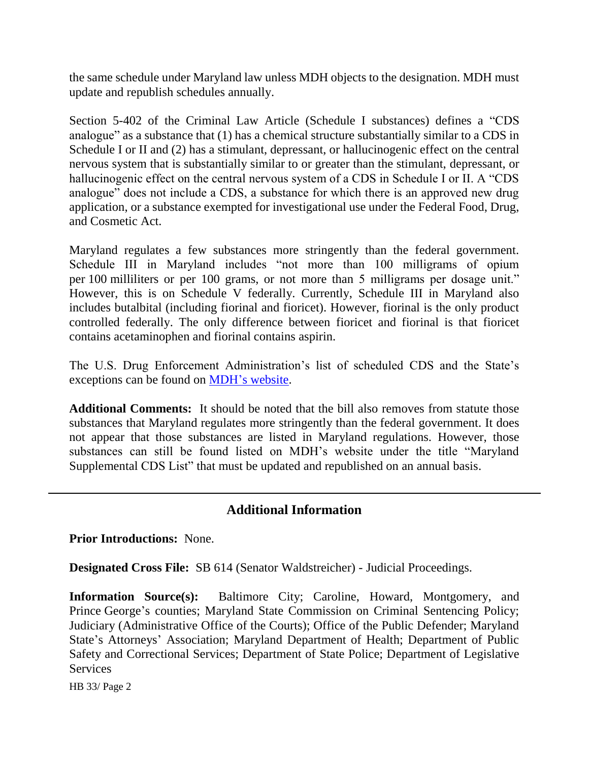the same schedule under Maryland law unless MDH objects to the designation. MDH must update and republish schedules annually.

Section 5-402 of the Criminal Law Article (Schedule I substances) defines a "CDS analogue" as a substance that (1) has a chemical structure substantially similar to a CDS in Schedule I or II and (2) has a stimulant, depressant, or hallucinogenic effect on the central nervous system that is substantially similar to or greater than the stimulant, depressant, or hallucinogenic effect on the central nervous system of a CDS in Schedule I or II. A "CDS analogue" does not include a CDS, a substance for which there is an approved new drug application, or a substance exempted for investigational use under the Federal Food, Drug, and Cosmetic Act.

Maryland regulates a few substances more stringently than the federal government. Schedule III in Maryland includes "not more than 100 milligrams of opium per 100 milliliters or per 100 grams, or not more than 5 milligrams per dosage unit." However, this is on Schedule V federally. Currently, Schedule III in Maryland also includes butalbital (including fiorinal and fioricet). However, fiorinal is the only product controlled federally. The only difference between fioricet and fiorinal is that fioricet contains acetaminophen and fiorinal contains aspirin.

The U.S. Drug Enforcement Administration's list of scheduled CDS and the State's exceptions can be found on [MDH's website.](https://health.maryland.gov/ocsa/Pages/home.ASPX)

**Additional Comments:** It should be noted that the bill also removes from statute those substances that Maryland regulates more stringently than the federal government. It does not appear that those substances are listed in Maryland regulations. However, those substances can still be found listed on MDH's website under the title "Maryland Supplemental CDS List" that must be updated and republished on an annual basis.

## **Additional Information**

**Prior Introductions:** None.

**Designated Cross File:** SB 614 (Senator Waldstreicher) - Judicial Proceedings.

**Information Source(s):** Baltimore City; Caroline, Howard, Montgomery, and Prince George's counties; Maryland State Commission on Criminal Sentencing Policy; Judiciary (Administrative Office of the Courts); Office of the Public Defender; Maryland State's Attorneys' Association; Maryland Department of Health; Department of Public Safety and Correctional Services; Department of State Police; Department of Legislative **Services** 

HB 33/ Page 2